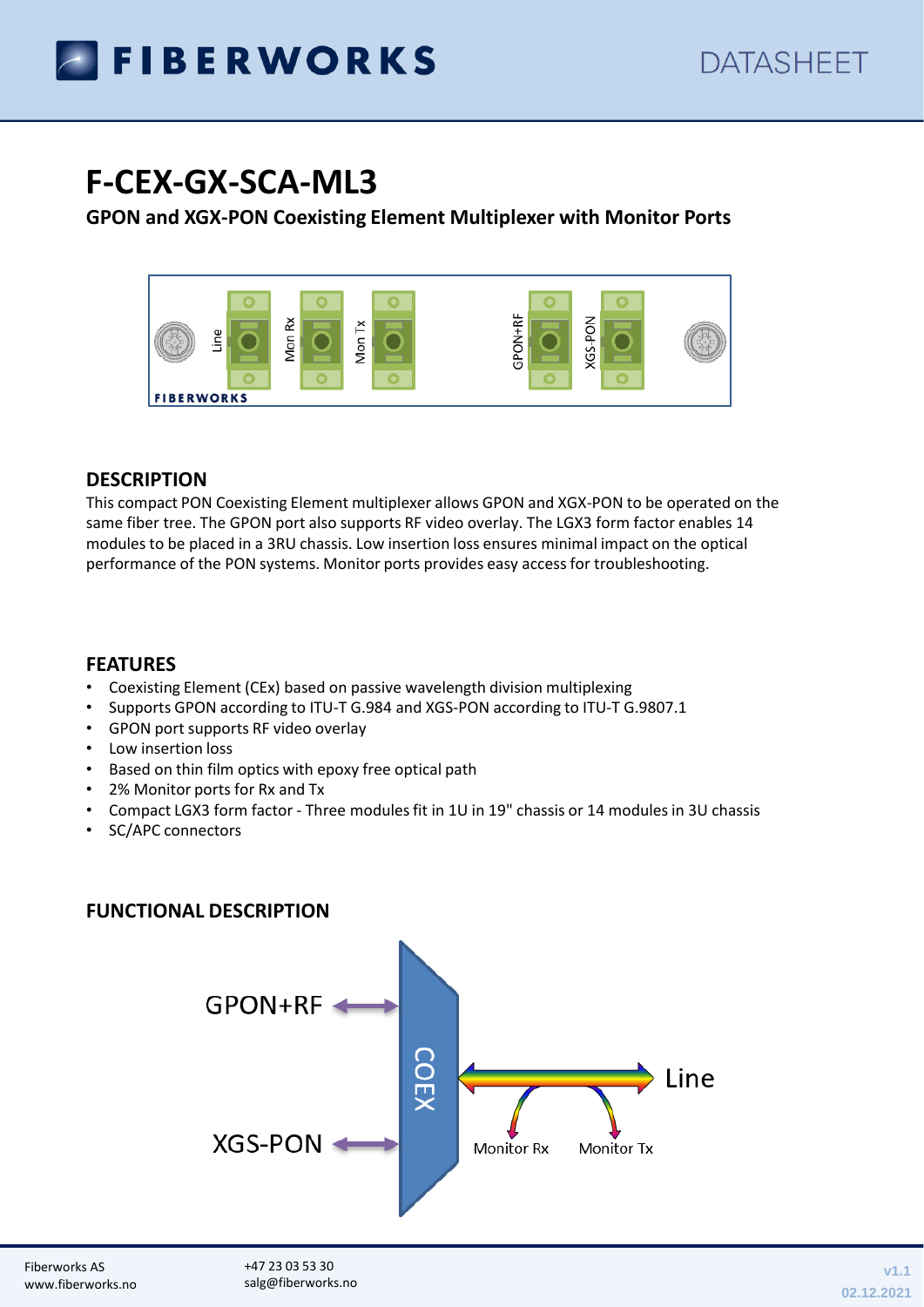

# **F-CEX-GX-SCA-ML3**

## **GPON and XGX-PON Coexisting Element Multiplexer with Monitor Ports**



#### **DESCRIPTION**

This compact PON Coexisting Element multiplexer allows GPON and XGX-PON to be operated on the same fiber tree. The GPON port also supports RF video overlay. The LGX3 form factor enables 14 modules to be placed in a 3RU chassis. Low insertion loss ensures minimal impact on the optical performance of the PON systems. Monitor ports provides easy access for troubleshooting.

#### **FEATURES**

- Coexisting Element (CEx) based on passive wavelength division multiplexing
- Supports GPON according to ITU-T G.984 and XGS-PON according to ITU-T G.9807.1
- GPON port supports RF video overlay
- Low insertion loss
- Based on thin film optics with epoxy free optical path
- 2% Monitor ports for Rx and Tx
- Compact LGX3 form factor Three modules fit in 1U in 19" chassis or 14 modules in 3U chassis
- SC/APC connectors

## **FUNCTIONAL DESCRIPTION**